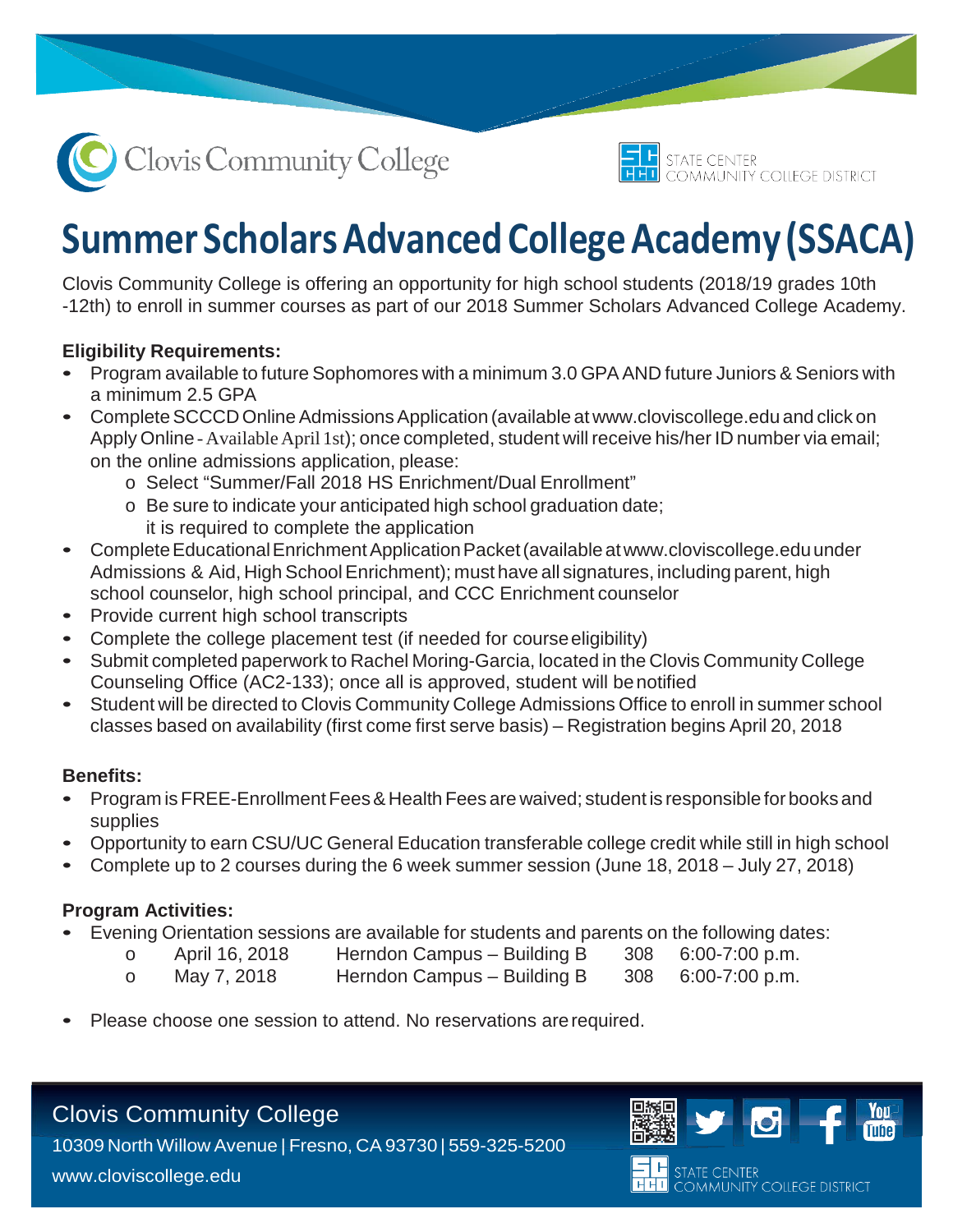



# **Summer Scholars Advanced College Academy (SSACA)**

Clovis Community College is offering an opportunity for high school students (2018/19 grades 10th -12th) to enroll in summer courses as part of our 2018 Summer Scholars Advanced College Academy.

## **Eligibility Requirements:**

- Program available to future Sophomores with a minimum 3.0 GPAAND future Juniors & Seniors with a minimum 2.5 GPA
- Complete SCCCD Online Admissions Application (available at [www.cloviscollege.edu](http://www.cloviscollege.edu/) and click on Apply Online - Available April 1st); once completed, student will receive his/her ID number via email; on the online admissions application, please:
	- o Select "Summer/Fall 2018 HS Enrichment/Dual Enrollment"
	- o Be sure to indicate your anticipated high school graduation date; it is required to complete the application
- CompleteEducationalEnrichmentApplicationPacket(availablea[twww.cloviscollege.eduu](http://www.cloviscollege.edu/)nder Admissions & Aid, High School Enrichment); must have all signatures, including parent, high school counselor, high school principal, and CCC Enrichment counselor
- Provide current high school transcripts
- Complete the college placement test (if needed for course eligibility)
- Submit completed paperwork to Rachel Moring-Garcia, located in the Clovis Community College Counseling Office (AC2-133); once all is approved, student will benotified
- Student will be directed to Clovis Community College Admissions Office to enroll in summer school classes based on availability (first come first serve basis) – Registration begins April 20, 2018

#### **Benefits:**

- Program isFREE-EnrollmentFees& Health Fees are waived; student is responsible forbooks and supplies
- Opportunity to earn CSU/UC General Education transferable college credit while still in high school
- Complete up to 2 courses during the 6 week summer session (June 18, 2018 July 27, 2018)

## **Program Activities:**

- Evening Orientation sessions are available for students and parents on the following dates:<br>
o April 16, 2018 Herndon Campus Building B 308 6:00-7:00 p.m.
	-
	- o April 16, 2018 Herndon Campus Building B
		-
- 
- 
- o May 7, 2018 Herndon Campus Building B 308 6:00-7:00 p.m.
	-
- Please choose one session to attend. No reservations arerequired.

# Clovis Community College

10309 North Willow Avenue | Fresno, CA 93730 | 559-325-5200 [www.cloviscollege.edu](http://www.cloviscollege.edu/)